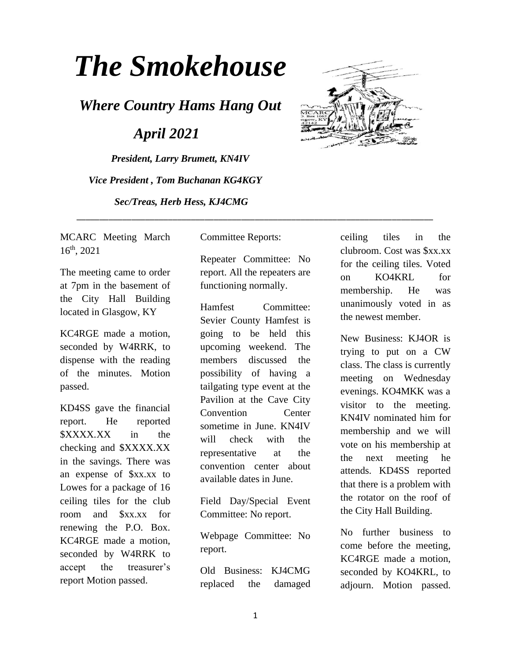# *The Smokehouse*

*Where Country Hams Hang Out*

 *April 2021*

*President, Larry Brumett, KN4IV Vice President , Tom Buchanan KG4KGY Sec/Treas, Herb Hess, KJ4CMG*



MCARC Meeting March 16th, 2021

The meeting came to order at 7pm in the basement of the City Hall Building located in Glasgow, KY

KC4RGE made a motion, seconded by W4RRK, to dispense with the reading of the minutes. Motion passed.

KD4SS gave the financial report. He reported \$XXXX.XX in the checking and \$XXXX.XX in the savings. There was an expense of \$xx.xx to Lowes for a package of 16 ceiling tiles for the club room and \$xx.xx for renewing the P.O. Box. KC4RGE made a motion, seconded by W4RRK to accept the treasurer's report Motion passed.

Committee Reports:

\_\_\_\_\_\_\_\_\_\_\_\_\_\_\_\_\_\_\_\_\_\_\_\_\_\_\_\_\_\_\_\_\_\_\_\_\_\_\_\_\_\_\_\_\_\_\_\_\_\_\_\_\_\_\_\_\_\_\_\_\_\_\_\_\_\_\_\_\_\_\_\_\_\_\_\_\_\_

Repeater Committee: No report. All the repeaters are functioning normally.

Hamfest Committee: Sevier County Hamfest is going to be held this upcoming weekend. The members discussed the possibility of having a tailgating type event at the Pavilion at the Cave City Convention Center sometime in June. KN4IV will check with the representative at the convention center about available dates in June.

Field Day/Special Event Committee: No report.

Webpage Committee: No report.

Old Business: KJ4CMG replaced the damaged ceiling tiles in the clubroom. Cost was \$xx.xx for the ceiling tiles. Voted on KO4KRL for membership. He was unanimously voted in as the newest member.

New Business: KJ4OR is trying to put on a CW class. The class is currently meeting on Wednesday evenings. KO4MKK was a visitor to the meeting. KN4IV nominated him for membership and we will vote on his membership at the next meeting he attends. KD4SS reported that there is a problem with the rotator on the roof of the City Hall Building.

No further business to come before the meeting, KC4RGE made a motion, seconded by KO4KRL, to adjourn. Motion passed.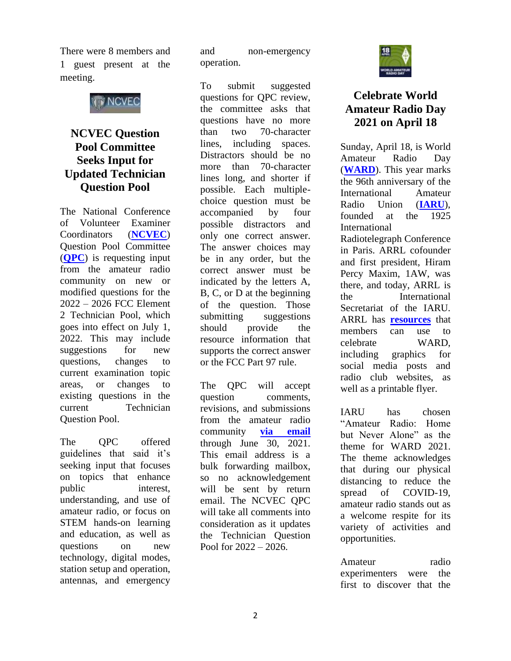There were 8 members and 1 guest present at the meeting.



## **NCVEC Question Pool Committee Seeks Input for Updated Technician Question Pool**

The National Conference of Volunteer Examiner Coordinators (**[NCVEC](http://www.ncvec.org/)**) Question Pool Committee (**[QPC](http://www.ncvec.org/page.php?id=333)**) is requesting input from the amateur radio community on new or modified questions for the 2022 – 2026 FCC Element 2 Technician Pool, which goes into effect on July 1, 2022. This may include suggestions for new questions, changes to current examination topic areas, or changes to existing questions in the current Technician Question Pool.

The OPC offered guidelines that said it's seeking input that focuses on topics that enhance public interest, understanding, and use of amateur radio, or focus on STEM hands-on learning and education, as well as questions on new technology, digital modes, station setup and operation, antennas, and emergency

and non-emergency operation.

To submit suggested questions for QPC review, the committee asks that questions have no more than two 70-character lines, including spaces. Distractors should be no more than 70-character lines long, and shorter if possible. Each multiplechoice question must be accompanied by four possible distractors and only one correct answer. The answer choices may be in any order, but the correct answer must be indicated by the letters A, B, C, or D at the beginning of the question. Those submitting suggestions should provide the resource information that supports the correct answer or the FCC Part 97 rule.

The QPC will accept question comments, revisions, and submissions from the amateur radio community **[via email](mailto:QPCinput@ncvec.org)** through June 30, 2021. This email address is a bulk forwarding mailbox, so no acknowledgement will be sent by return email. The NCVEC QPC will take all comments into consideration as it updates the Technician Question Pool for 2022 – 2026.



# **Celebrate World Amateur Radio Day 2021 on April 18**

Sunday, April 18, is World Amateur Radio Day (**[WARD](https://www.iaru.org/on-the-air/world-amateur-radio-day/)**). This year marks the 96th anniversary of the International Amateur Radio Union (**[IARU](http://www.iaru.org/)**), founded at the 1925 International Radiotelegraph Conference in Paris. ARRL cofounder and first president, Hiram Percy Maxim, 1AW, was there, and today, ARRL is the International Secretariat of the IARU. ARRL has **[resources](http://www.arrl.org/world-amateur-radio-day)** that members can use to celebrate WARD, including graphics for social media posts and radio club websites, as well as a printable flyer.

IARU has chosen "Amateur Radio: Home but Never Alone" as the theme for WARD 2021. The theme acknowledges that during our physical distancing to reduce the spread of COVID-19. amateur radio stands out as a welcome respite for its variety of activities and opportunities.

Amateur radio experimenters were the first to discover that the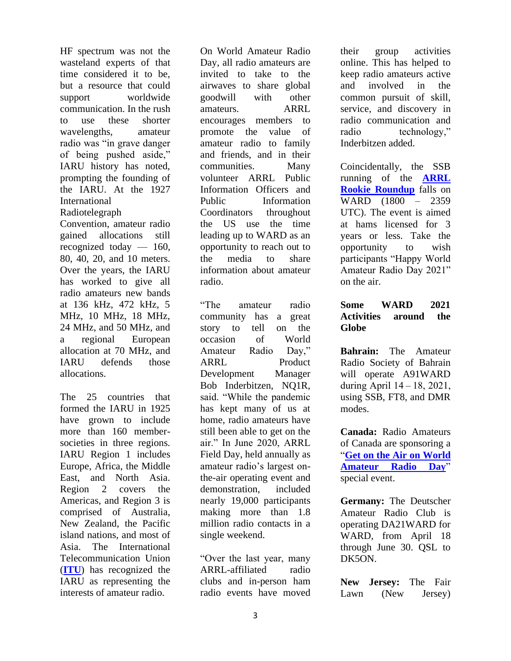HF spectrum was not the wasteland experts of that time considered it to be, but a resource that could support worldwide communication. In the rush to use these shorter wavelengths, amateur radio was "in grave danger of being pushed aside," IARU history has noted, prompting the founding of the IARU. At the 1927 International Radiotelegraph Convention, amateur radio gained allocations still recognized today — 160, 80, 40, 20, and 10 meters. Over the years, the IARU

has worked to give all radio amateurs new bands at 136 kHz, 472 kHz, 5 MHz, 10 MHz, 18 MHz, 24 MHz, and 50 MHz, and a regional European allocation at 70 MHz, and IARU defends those allocations.

The 25 countries that formed the IARU in 1925 have grown to include more than 160 membersocieties in three regions. IARU Region 1 includes Europe, Africa, the Middle East, and North Asia. Region 2 covers the Americas, and Region 3 is comprised of Australia, New Zealand, the Pacific island nations, and most of Asia. The International Telecommunication Union (**[ITU](https://www.itu.int/en/Pages/default.aspx)**) has recognized the IARU as representing the interests of amateur radio.

On World Amateur Radio Day, all radio amateurs are invited to take to the airwaves to share global goodwill with other amateurs. ARRL encourages members to promote the value of amateur radio to family and friends, and in their communities. Many volunteer ARRL Public Information Officers and Public Information Coordinators throughout the US use the time leading up to WARD as an opportunity to reach out to the media to share information about amateur radio.

"The amateur radio community has a great story to tell on the occasion of World Amateur Radio Day," ARRL Product Development Manager Bob Inderbitzen, NQ1R, said. "While the pandemic has kept many of us at home, radio amateurs have still been able to get on the air." In June 2020, ARRL Field Day, held annually as amateur radio's largest onthe-air operating event and demonstration, included nearly 19,000 participants making more than 1.8 million radio contacts in a single weekend.

"Over the last year, many ARRL-affiliated radio clubs and in-person ham radio events have moved

their group activities online. This has helped to keep radio amateurs active and involved in the common pursuit of skill, service, and discovery in radio communication and radio technology," Inderbitzen added.

Coincidentally, the SSB running of the **[ARRL](http://www.arrl.org/rookie-roundup)  [Rookie Roundup](http://www.arrl.org/rookie-roundup)** falls on WARD (1800 – 2359 UTC). The event is aimed at hams licensed for 3 years or less. Take the opportunity to wish participants "Happy World Amateur Radio Day 2021" on the air.

#### **Some WARD 2021 Activities around the Globe**

**Bahrain:** The Amateur Radio Society of Bahrain will operate A91WARD during April 14 – 18, 2021, using SSB, FT8, and DMR modes.

**Canada:** Radio Amateurs of Canada are sponsoring a "**[Get on the Air on World](http://www.rac.ca/ward2021/)  [Amateur Radio Day](http://www.rac.ca/ward2021/)**" special event.

**Germany:** The Deutscher Amateur Radio Club is operating DA21WARD for WARD, from April 18 through June 30. QSL to DK5ON.

**New Jersey:** The Fair Lawn (New Jersey)